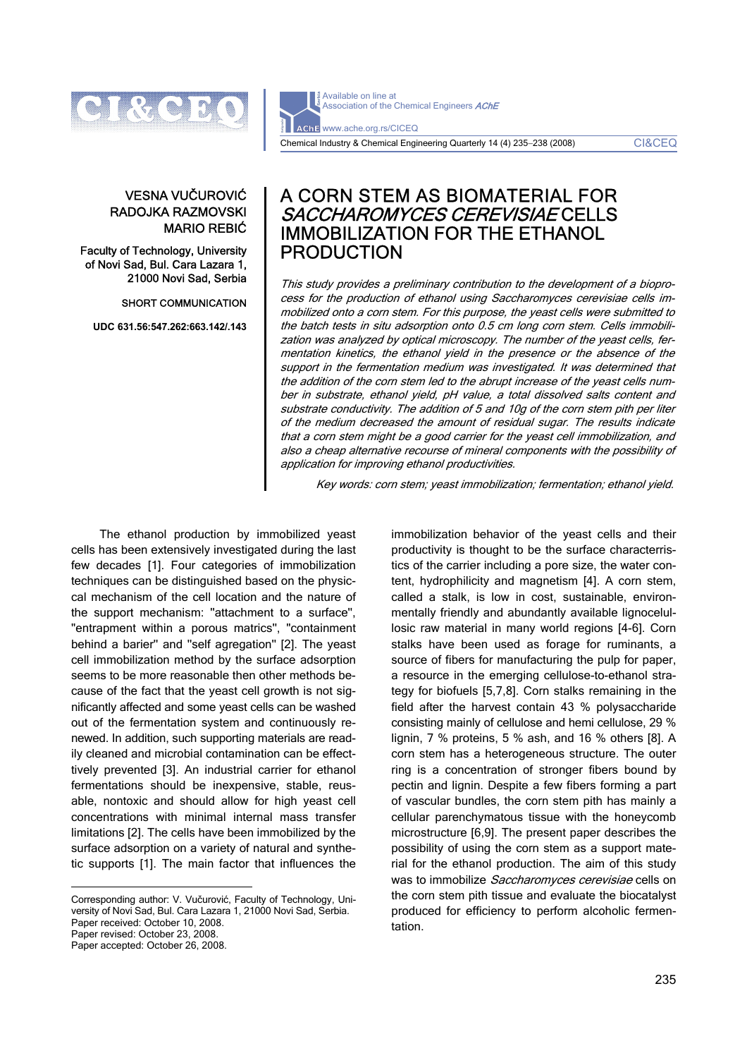

VESNA VUČUROVIĆ RADOJKA RAZMOVSKI MARIO REBIĆ

Faculty of Technology, University of Novi Sad, Bul. Cara Lazara 1, 21000 Novi Sad, Serbia

#### SHORT COMMUNICATION

**UDC 631.56:547.262:663.142/.143** 

Available on line at Association of the Chemical Engineers AChE AChE www.ache.org.rs/CICEQ Chemical Industry & Chemical Engineering Quarterly 14 (4) 235−238 (2008) CI&CEQ

# A CORN STEM AS BIOMATERIAL FOR SACCHAROMYCES CEREVISIAE CELLS IMMOBILIZATION FOR THE ETHANOL PRODUCTION

This study provides a preliminary contribution to the development of a bioprocess for the production of ethanol using Saccharomyces cerevisiae cells immobilized onto a corn stem. For this purpose, the yeast cells were submitted to the batch tests in situ adsorption onto 0.5 cm long corn stem. Cells immobilization was analyzed by optical microscopy. The number of the yeast cells, fermentation kinetics, the ethanol yield in the presence or the absence of the support in the fermentation medium was investigated. It was determined that the addition of the corn stem led to the abrupt increase of the yeast cells number in substrate, ethanol yield, pH value, a total dissolved salts content and substrate conductivity. The addition of 5 and 10g of the corn stem pith per liter of the medium decreased the amount of residual sugar. The results indicate that a corn stem might be a good carrier for the yeast cell immobilization, and also a cheap alternative recourse of mineral components with the possibility of application for improving ethanol productivities.

Key words: corn stem; yeast immobilization; fermentation; ethanol yield.

The ethanol production by immobilized yeast cells has been extensively investigated during the last few decades [1]. Four categories of immobilization techniques can be distinguished based on the physiccal mechanism of the cell location and the nature of the support mechanism: ''attachment to a surface'', ''entrapment within a porous matrics'', ''containment behind a barier'' and ''self agregation'' [2]. The yeast cell immobilization method by the surface adsorption seems to be more reasonable then other methods because of the fact that the yeast cell growth is not significantly affected and some yeast cells can be washed out of the fermentation system and continuously renewed. In addition, such supporting materials are readily cleaned and microbial contamination can be effecttively prevented [3]. An industrial carrier for ethanol fermentations should be inexpensive, stable, reusable, nontoxic and should allow for high yeast cell concentrations with minimal internal mass transfer limitations [2]. The cells have been immobilized by the surface adsorption on a variety of natural and synthetic supports [1]. The main factor that influences the

Corresponding author: V. Vučurović, Faculty of Technology, University of Novi Sad, Bul. Cara Lazara 1, 21000 Novi Sad, Serbia. Paper received: October 10, 2008. Paper revised: October 23, 2008. Paper accepted: October 26, 2008.

 $\overline{a}$ 

immobilization behavior of the yeast cells and their productivity is thought to be the surface characterristics of the carrier including a pore size, the water content, hydrophilicity and magnetism [4]. A corn stem, called a stalk, is low in cost, sustainable, environmentally friendly and abundantly available lignocelullosic raw material in many world regions [4-6]. Corn stalks have been used as forage for ruminants, a source of fibers for manufacturing the pulp for paper, a resource in the emerging cellulose-to-ethanol strategy for biofuels [5,7,8]. Corn stalks remaining in the field after the harvest contain 43 % polysaccharide consisting mainly of cellulose and hemi cellulose, 29 % lignin, 7 % proteins, 5 % ash, and 16 % others [8]. A corn stem has a heterogeneous structure. The outer ring is a concentration of stronger fibers bound by pectin and lignin. Despite a few fibers forming a part of vascular bundles, the corn stem pith has mainly a cellular parenchymatous tissue with the honeycomb microstructure [6,9]. The present paper describes the possibility of using the corn stem as a support material for the ethanol production. The aim of this study was to immobilize Saccharomyces cerevisiae cells on the corn stem pith tissue and evaluate the biocatalyst produced for efficiency to perform alcoholic fermentation.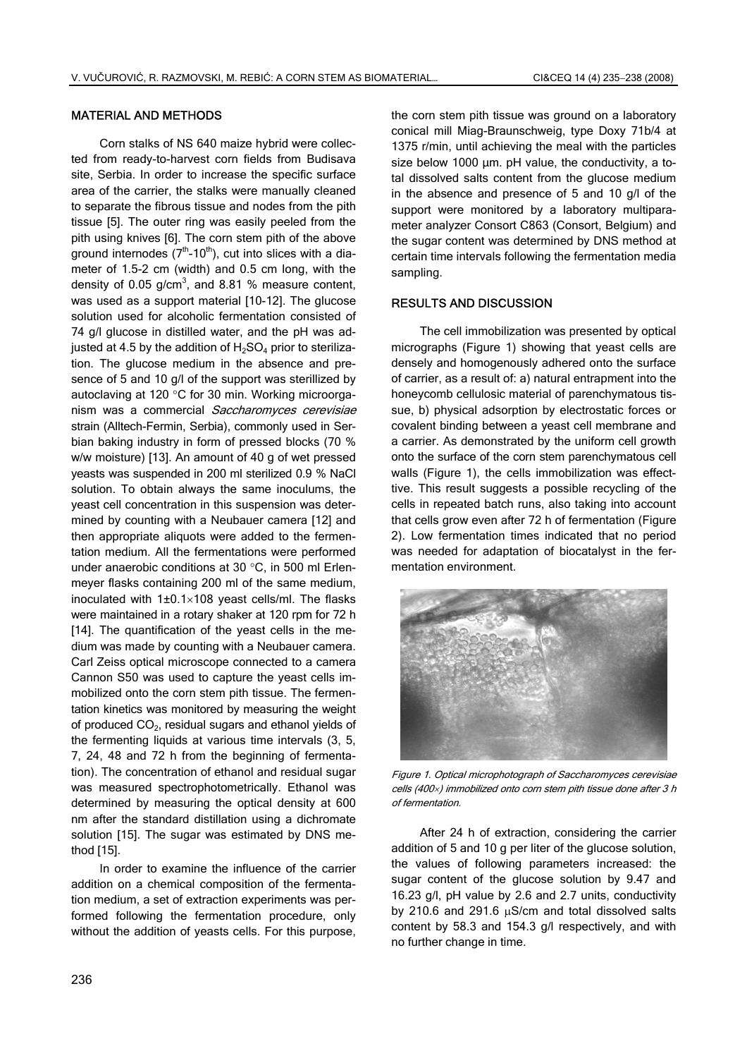### MATERIAL AND METHODS

Corn stalks of NS 640 maize hybrid were collected from ready-to-harvest corn fields from Budisava site, Serbia. In order to increase the specific surface area of the carrier, the stalks were manually cleaned to separate the fibrous tissue and nodes from the pith tissue [5]. The outer ring was easily peeled from the pith using knives [6]. The corn stem pith of the above ground internodes  $(7<sup>th</sup>-10<sup>th</sup>)$ , cut into slices with a diameter of 1.5-2 cm (width) and 0.5 cm long, with the density of 0.05 g/cm<sup>3</sup>, and 8.81 % measure content, was used as a support material [10-12]. The glucose solution used for alcoholic fermentation consisted of 74 g/l glucose in distilled water, and the pH was adjusted at 4.5 by the addition of  $H_2SO_4$  prior to sterilization. The glucose medium in the absence and presence of 5 and 10 g/l of the support was sterillized by autoclaving at 120 °C for 30 min. Working microorganism was a commercial Saccharomyces cerevisiae strain (Alltech-Fermin, Serbia), commonly used in Serbian baking industry in form of pressed blocks (70 % w/w moisture) [13]. An amount of 40 g of wet pressed yeasts was suspended in 200 ml sterilized 0.9 % NaCl solution. To obtain always the same inoculums, the yeast cell concentration in this suspension was determined by counting with a Neubauer camera [12] and then appropriate aliquots were added to the fermentation medium. All the fermentations were performed under anaerobic conditions at 30 °C, in 500 ml Erlenmeyer flasks containing 200 ml of the same medium, inoculated with 1±0.1×108 yeast cells/ml. The flasks were maintained in a rotary shaker at 120 rpm for 72 h [14]. The quantification of the yeast cells in the medium was made by counting with a Neubauer camera. Carl Zeiss optical microscope connected to a camera Cannon S50 was used to capture the yeast cells immobilized onto the corn stem pith tissue. The fermentation kinetics was monitored by measuring the weight of produced  $CO<sub>2</sub>$ , residual sugars and ethanol yields of the fermenting liquids at various time intervals (3, 5, 7, 24, 48 and 72 h from the beginning of fermentation). The concentration of ethanol and residual sugar was measured spectrophotometrically. Ethanol was determined by measuring the optical density at 600 nm after the standard distillation using a dichromate solution [15]. The sugar was estimated by DNS method [15].

In order to examine the influence of the carrier addition on a chemical composition of the fermentation medium, a set of extraction experiments was performed following the fermentation procedure, only without the addition of yeasts cells. For this purpose,

the corn stem pith tissue was ground on a laboratory conical mill Miag-Braunschweig, type Doxy 71b/4 at 1375 r/min, until achieving the meal with the particles size below 1000 µm. pH value, the conductivity, a total dissolved salts content from the glucose medium in the absence and presence of 5 and 10 g/l of the support were monitored by a laboratory multiparameter analyzer Consort C863 (Consort, Belgium) and the sugar content was determined by DNS method at certain time intervals following the fermentation media sampling.

#### RESULTS AND DISCUSSION

The cell immobilization was presented by optical micrographs (Figure 1) showing that yeast cells are densely and homogenously adhered onto the surface of carrier, as a result of: a) natural entrapment into the honeycomb cellulosic material of parenchymatous tissue, b) physical adsorption by electrostatic forces or covalent binding between a yeast cell membrane and a carrier. As demonstrated by the uniform cell growth onto the surface of the corn stem parenchymatous cell walls (Figure 1), the cells immobilization was effecttive. This result suggests a possible recycling of the cells in repeated batch runs, also taking into account that cells grow even after 72 h of fermentation (Figure 2). Low fermentation times indicated that no period was needed for adaptation of biocatalyst in the fermentation environment.



Figure 1. Optical microphotograph of Saccharomyces cerevisiae cells (400×) immobilized onto corn stem pith tissue done after 3 h of fermentation.

After 24 h of extraction, considering the carrier addition of 5 and 10 g per liter of the glucose solution, the values of following parameters increased: the sugar content of the glucose solution by 9.47 and 16.23 g/l, pH value by 2.6 and 2.7 units, conductivity by 210.6 and 291.6 µS/cm and total dissolved salts content by 58.3 and 154.3 g/l respectively, and with no further change in time.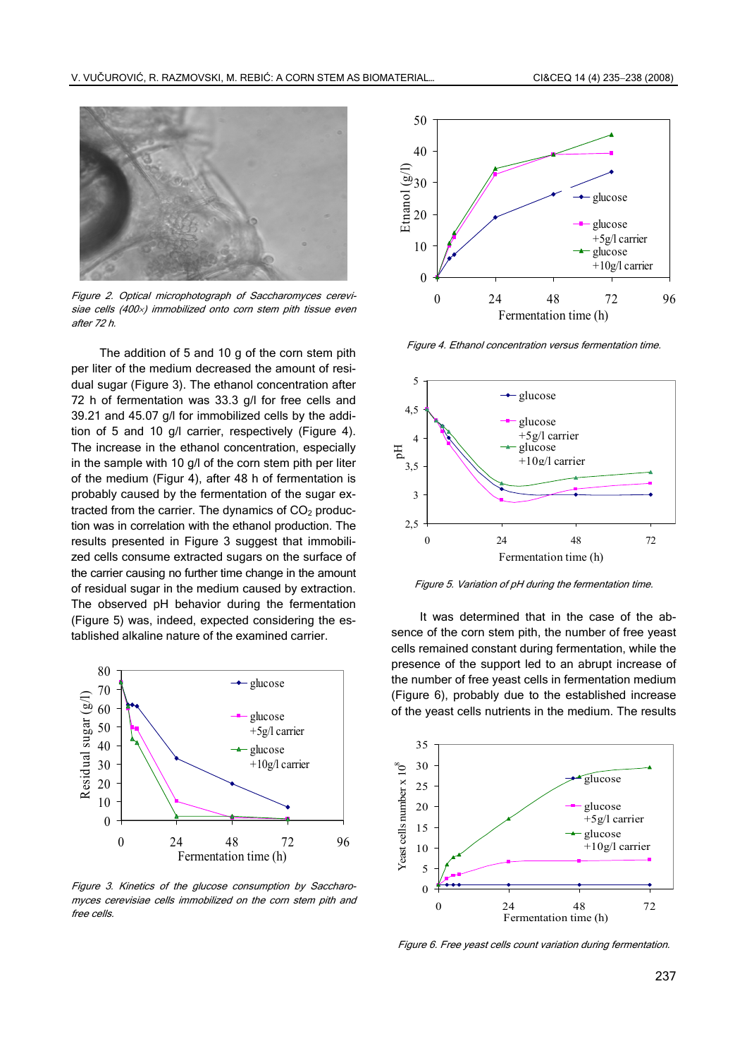

Figure 2. Optical microphotograph of Saccharomyces cerevisiae cells (400×) immobilized onto corn stem pith tissue even after 72 h.

The addition of 5 and 10 g of the corn stem pith per liter of the medium decreased the amount of residual sugar (Figure 3). The ethanol concentration after 72 h of fermentation was 33.3 g/l for free cells and 39.21 and 45.07 g/l for immobilized cells by the addition of 5 and 10 g/l carrier, respectively (Figure 4). The increase in the ethanol concentration, especially in the sample with 10 g/l of the corn stem pith per liter of the medium (Figur 4), after 48 h of fermentation is probably caused by the fermentation of the sugar extracted from the carrier. The dynamics of  $CO<sub>2</sub>$  production was in correlation with the ethanol production. The results presented in Figure 3 suggest that immobilized cells consume extracted sugars on the surface of the carrier causing no further time change in the amount of residual sugar in the medium caused by extraction. The observed pH behavior during the fermentation (Figure 5) was, indeed, expected considering the established alkaline nature of the examined carrier.



Figure 3. Kinetics of the glucose consumption by Saccharomyces cerevisiae cells immobilized on the corn stem pith and free cells.



Figure 4. Ethanol concentration versus fermentation time.



Figure 5. Variation of pH during the fermentation time.

It was determined that in the case of the absence of the corn stem pith, the number of free yeast cells remained constant during fermentation, while the presence of the support led to an abrupt increase of the number of free yeast cells in fermentation medium (Figure 6), probably due to the established increase of the yeast cells nutrients in the medium. The results



Figure 6. Free yeast cells count variation during fermentation.